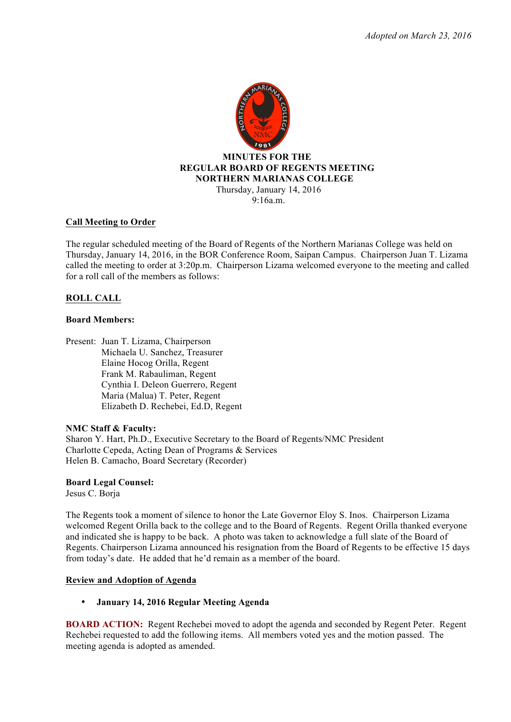

### **Call Meeting to Order**

The regular scheduled meeting of the Board of Regents of the Northern Marianas College was held on Thursday, January 14, 2016, in the BOR Conference Room, Saipan Campus. Chairperson Juan T. Lizama called the meeting to order at 3:20p.m. Chairperson Lizama welcomed everyone to the meeting and called for a roll call of the members as follows:

## **ROLL CALL**

### **Board Members:**

Present: Juan T. Lizama, Chairperson Michaela U. Sanchez, Treasurer Elaine Hocog Orilla, Regent Frank M. Rabauliman, Regent Cynthia I. Deleon Guerrero, Regent Maria (Malua) T. Peter, Regent Elizabeth D. Rechebei, Ed.D, Regent

### **NMC Staff & Faculty:**

Sharon Y. Hart, Ph.D., Executive Secretary to the Board of Regents/NMC President Charlotte Cepeda, Acting Dean of Programs & Services Helen B. Camacho, Board Secretary (Recorder)

# **Board Legal Counsel:**

Jesus C. Borja

The Regents took a moment of silence to honor the Late Governor Eloy S. Inos. Chairperson Lizama welcomed Regent Orilla back to the college and to the Board of Regents. Regent Orilla thanked everyone and indicated she is happy to be back. A photo was taken to acknowledge a full slate of the Board of Regents. Chairperson Lizama announced his resignation from the Board of Regents to be effective 15 days from today's date. He added that he'd remain as a member of the board.

### **Review and Adoption of Agenda**

## • **January 14, 2016 Regular Meeting Agenda**

**BOARD ACTION:** Regent Rechebei moved to adopt the agenda and seconded by Regent Peter. Regent Rechebei requested to add the following items. All members voted yes and the motion passed. The meeting agenda is adopted as amended.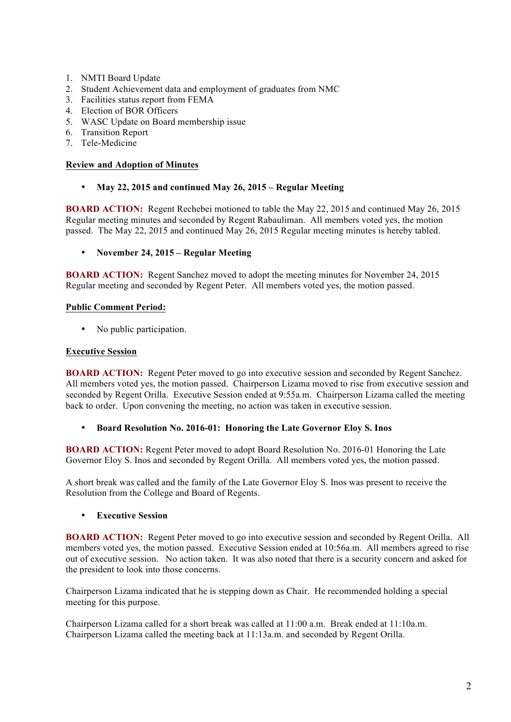- 1. NMTI Board Update
- 2. Student Achievement data and employment of graduates from NMC
- 3. Facilities status report from FEMA
- 4. Election of BOR Officers
- 5. WASC Update on Board membership issue
- 6. Transition Report
- 7. Tele-Medicine

## **Review and Adoption of Minutes**

• **May 22, 2015 and continued May 26, 2015 – Regular Meeting**

**BOARD ACTION:** Regent Rechebei motioned to table the May 22, 2015 and continued May 26, 2015 Regular meeting minutes and seconded by Regent Rabauliman. All members voted yes, the motion passed. The May 22, 2015 and continued May 26, 2015 Regular meeting minutes is hereby tabled.

• **November 24, 2015 – Regular Meeting** 

**BOARD ACTION:** Regent Sanchez moved to adopt the meeting minutes for November 24, 2015 Regular meeting and seconded by Regent Peter. All members voted yes, the motion passed.

## **Public Comment Period:**

• No public participation.

## **Executive Session**

**BOARD ACTION:** Regent Peter moved to go into executive session and seconded by Regent Sanchez. All members voted yes, the motion passed. Chairperson Lizama moved to rise from executive session and seconded by Regent Orilla. Executive Session ended at 9:55a.m. Chairperson Lizama called the meeting back to order. Upon convening the meeting, no action was taken in executive session.

• **Board Resolution No. 2016-01: Honoring the Late Governor Eloy S. Inos**

**BOARD ACTION:** Regent Peter moved to adopt Board Resolution No. 2016-01 Honoring the Late Governor Eloy S. Inos and seconded by Regent Orilla. All members voted yes, the motion passed.

A short break was called and the family of the Late Governor Eloy S. Inos was present to receive the Resolution from the College and Board of Regents.

• **Executive Session** 

**BOARD ACTION:** Regent Peter moved to go into executive session and seconded by Regent Orilla. All members voted yes, the motion passed. Executive Session ended at 10:56a.m. All members agreed to rise out of executive session. No action taken. It was also noted that there is a security concern and asked for the president to look into those concerns.

Chairperson Lizama indicated that he is stepping down as Chair. He recommended holding a special meeting for this purpose.

Chairperson Lizama called for a short break was called at 11:00 a.m. Break ended at 11:10a.m. Chairperson Lizama called the meeting back at 11:13a.m. and seconded by Regent Orilla.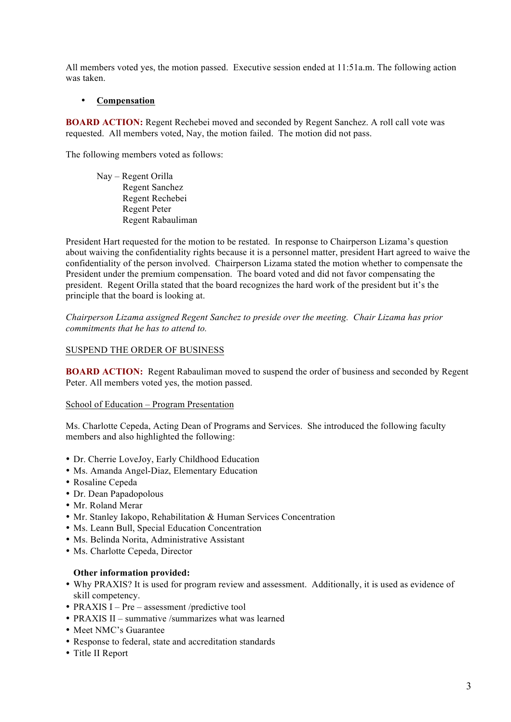All members voted yes, the motion passed. Executive session ended at 11:51a.m. The following action was taken.

## • **Compensation**

**BOARD ACTION:** Regent Rechebei moved and seconded by Regent Sanchez. A roll call vote was requested. All members voted, Nay, the motion failed. The motion did not pass.

The following members voted as follows:

Nay – Regent Orilla Regent Sanchez Regent Rechebei Regent Peter Regent Rabauliman

President Hart requested for the motion to be restated. In response to Chairperson Lizama's question about waiving the confidentiality rights because it is a personnel matter, president Hart agreed to waive the confidentiality of the person involved. Chairperson Lizama stated the motion whether to compensate the President under the premium compensation. The board voted and did not favor compensating the president. Regent Orilla stated that the board recognizes the hard work of the president but it's the principle that the board is looking at.

*Chairperson Lizama assigned Regent Sanchez to preside over the meeting. Chair Lizama has prior commitments that he has to attend to.* 

### SUSPEND THE ORDER OF BUSINESS

**BOARD ACTION:** Regent Rabauliman moved to suspend the order of business and seconded by Regent Peter. All members voted yes, the motion passed.

#### School of Education – Program Presentation

Ms. Charlotte Cepeda, Acting Dean of Programs and Services. She introduced the following faculty members and also highlighted the following:

- Dr. Cherrie LoveJoy, Early Childhood Education
- Ms. Amanda Angel-Diaz, Elementary Education
- Rosaline Cepeda
- Dr. Dean Papadopolous
- Mr. Roland Merar
- Mr. Stanley Iakopo, Rehabilitation & Human Services Concentration
- Ms. Leann Bull, Special Education Concentration
- Ms. Belinda Norita, Administrative Assistant
- Ms. Charlotte Cepeda, Director

#### **Other information provided:**

- Why PRAXIS? It is used for program review and assessment. Additionally, it is used as evidence of skill competency.
- PRAXIS I Pre assessment /predictive tool
- PRAXIS II summative /summarizes what was learned
- Meet NMC's Guarantee
- Response to federal, state and accreditation standards
- Title II Report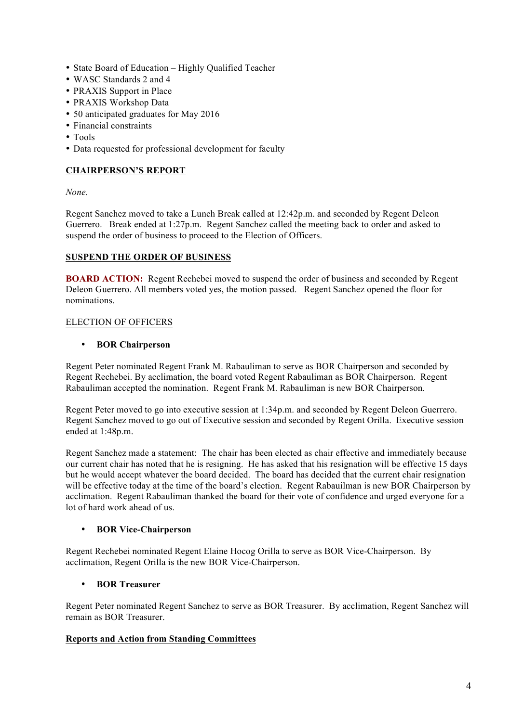- State Board of Education Highly Qualified Teacher
- WASC Standards 2 and 4
- PRAXIS Support in Place
- PRAXIS Workshop Data
- 50 anticipated graduates for May 2016
- Financial constraints
- Tools
- Data requested for professional development for faculty

# **CHAIRPERSON'S REPORT**

*None.*

Regent Sanchez moved to take a Lunch Break called at 12:42p.m. and seconded by Regent Deleon Guerrero. Break ended at 1:27p.m. Regent Sanchez called the meeting back to order and asked to suspend the order of business to proceed to the Election of Officers.

## **SUSPEND THE ORDER OF BUSINESS**

**BOARD ACTION:** Regent Rechebei moved to suspend the order of business and seconded by Regent Deleon Guerrero. All members voted yes, the motion passed. Regent Sanchez opened the floor for nominations.

## ELECTION OF OFFICERS

## • **BOR Chairperson**

Regent Peter nominated Regent Frank M. Rabauliman to serve as BOR Chairperson and seconded by Regent Rechebei. By acclimation, the board voted Regent Rabauliman as BOR Chairperson. Regent Rabauliman accepted the nomination. Regent Frank M. Rabauliman is new BOR Chairperson.

Regent Peter moved to go into executive session at 1:34p.m. and seconded by Regent Deleon Guerrero. Regent Sanchez moved to go out of Executive session and seconded by Regent Orilla. Executive session ended at 1:48p.m.

Regent Sanchez made a statement: The chair has been elected as chair effective and immediately because our current chair has noted that he is resigning. He has asked that his resignation will be effective 15 days but he would accept whatever the board decided. The board has decided that the current chair resignation will be effective today at the time of the board's election. Regent Rabauilman is new BOR Chairperson by acclimation. Regent Rabauliman thanked the board for their vote of confidence and urged everyone for a lot of hard work ahead of us.

## • **BOR Vice-Chairperson**

Regent Rechebei nominated Regent Elaine Hocog Orilla to serve as BOR Vice-Chairperson. By acclimation, Regent Orilla is the new BOR Vice-Chairperson.

## • **BOR Treasurer**

Regent Peter nominated Regent Sanchez to serve as BOR Treasurer. By acclimation, Regent Sanchez will remain as BOR Treasurer.

## **Reports and Action from Standing Committees**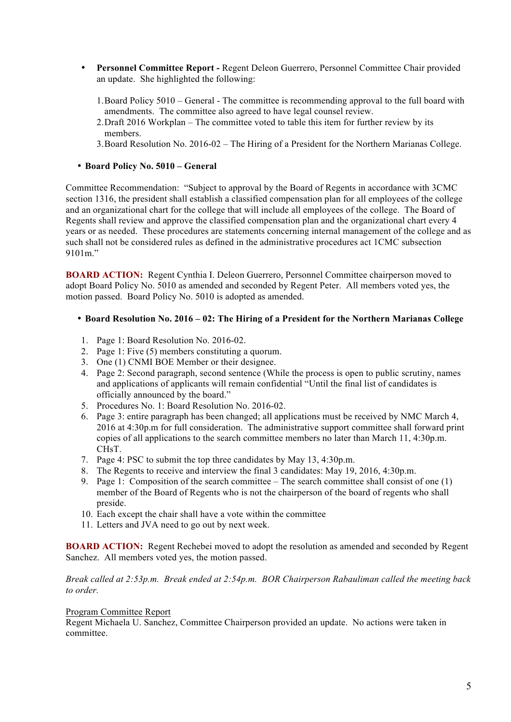- **Personnel Committee Report -** Regent Deleon Guerrero, Personnel Committee Chair provided an update. She highlighted the following:
	- 1.Board Policy 5010 General The committee is recommending approval to the full board with amendments. The committee also agreed to have legal counsel review.
	- 2.Draft 2016 Workplan The committee voted to table this item for further review by its members.
	- 3.Board Resolution No. 2016-02 The Hiring of a President for the Northern Marianas College.

## • **Board Policy No. 5010 – General**

Committee Recommendation: "Subject to approval by the Board of Regents in accordance with 3CMC section 1316, the president shall establish a classified compensation plan for all employees of the college and an organizational chart for the college that will include all employees of the college. The Board of Regents shall review and approve the classified compensation plan and the organizational chart every 4 years or as needed. These procedures are statements concerning internal management of the college and as such shall not be considered rules as defined in the administrative procedures act 1CMC subsection 9101m."

**BOARD ACTION:** Regent Cynthia I. Deleon Guerrero, Personnel Committee chairperson moved to adopt Board Policy No. 5010 as amended and seconded by Regent Peter. All members voted yes, the motion passed. Board Policy No. 5010 is adopted as amended.

## • **Board Resolution No. 2016 – 02: The Hiring of a President for the Northern Marianas College**

- 1. Page 1: Board Resolution No. 2016-02.
- 2. Page 1: Five (5) members constituting a quorum.
- 3. One (1) CNMI BOE Member or their designee.
- 4. Page 2: Second paragraph, second sentence (While the process is open to public scrutiny, names and applications of applicants will remain confidential "Until the final list of candidates is officially announced by the board."
- 5. Procedures No. 1: Board Resolution No. 2016-02.
- 6. Page 3: entire paragraph has been changed; all applications must be received by NMC March 4, 2016 at 4:30p.m for full consideration. The administrative support committee shall forward print copies of all applications to the search committee members no later than March 11, 4:30p.m. CH<sub>s</sub>T
- 7. Page 4: PSC to submit the top three candidates by May 13, 4:30p.m.
- 8. The Regents to receive and interview the final 3 candidates: May 19, 2016, 4:30p.m.
- 9. Page 1: Composition of the search committee The search committee shall consist of one (1) member of the Board of Regents who is not the chairperson of the board of regents who shall preside.
- 10. Each except the chair shall have a vote within the committee
- 11. Letters and JVA need to go out by next week.

**BOARD ACTION:** Regent Rechebei moved to adopt the resolution as amended and seconded by Regent Sanchez. All members voted yes, the motion passed.

### *Break called at 2:53p.m. Break ended at 2:54p.m. BOR Chairperson Rabauliman called the meeting back to order.*

#### Program Committee Report

Regent Michaela U. Sanchez, Committee Chairperson provided an update. No actions were taken in committee.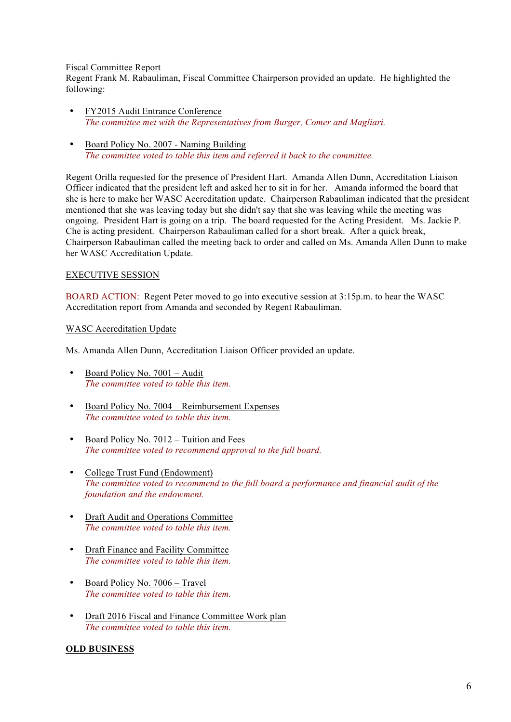### Fiscal Committee Report

Regent Frank M. Rabauliman, Fiscal Committee Chairperson provided an update. He highlighted the following:

- FY2015 Audit Entrance Conference *The committee met with the Representatives from Burger, Comer and Magliari.*
- Board Policy No. 2007 Naming Building *The committee voted to table this item and referred it back to the committee.*

Regent Orilla requested for the presence of President Hart. Amanda Allen Dunn, Accreditation Liaison Officer indicated that the president left and asked her to sit in for her. Amanda informed the board that she is here to make her WASC Accreditation update. Chairperson Rabauliman indicated that the president mentioned that she was leaving today but she didn't say that she was leaving while the meeting was ongoing. President Hart is going on a trip. The board requested for the Acting President. Ms. Jackie P. Che is acting president. Chairperson Rabauliman called for a short break. After a quick break, Chairperson Rabauliman called the meeting back to order and called on Ms. Amanda Allen Dunn to make her WASC Accreditation Update.

### EXECUTIVE SESSION

BOARD ACTION: Regent Peter moved to go into executive session at 3:15p.m. to hear the WASC Accreditation report from Amanda and seconded by Regent Rabauliman.

### WASC Accreditation Update

Ms. Amanda Allen Dunn, Accreditation Liaison Officer provided an update.

- Board Policy No. 7001 Audit *The committee voted to table this item.*
- Board Policy No. 7004 Reimbursement Expenses *The committee voted to table this item.*
- Board Policy No. 7012 Tuition and Fees *The committee voted to recommend approval to the full board.*
- College Trust Fund (Endowment) *The committee voted to recommend to the full board a performance and financial audit of the foundation and the endowment.*
- Draft Audit and Operations Committee *The committee voted to table this item.*
- Draft Finance and Facility Committee *The committee voted to table this item.*
- Board Policy No. 7006 Travel *The committee voted to table this item.*
- Draft 2016 Fiscal and Finance Committee Work plan *The committee voted to table this item.*

## **OLD BUSINESS**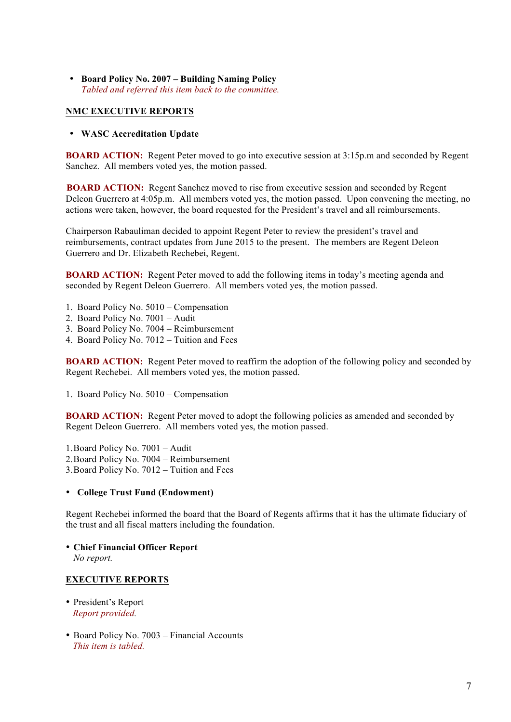• **Board Policy No. 2007 – Building Naming Policy**  *Tabled and referred this item back to the committee.* 

## **NMC EXECUTIVE REPORTS**

#### • **WASC Accreditation Update**

**BOARD ACTION:** Regent Peter moved to go into executive session at 3:15p.m and seconded by Regent Sanchez. All members voted yes, the motion passed.

**BOARD ACTION:** Regent Sanchez moved to rise from executive session and seconded by Regent Deleon Guerrero at 4:05p.m. All members voted yes, the motion passed. Upon convening the meeting, no actions were taken, however, the board requested for the President's travel and all reimbursements.

Chairperson Rabauliman decided to appoint Regent Peter to review the president's travel and reimbursements, contract updates from June 2015 to the present. The members are Regent Deleon Guerrero and Dr. Elizabeth Rechebei, Regent.

**BOARD ACTION:** Regent Peter moved to add the following items in today's meeting agenda and seconded by Regent Deleon Guerrero. All members voted yes, the motion passed.

- 1. Board Policy No. 5010 Compensation
- 2. Board Policy No. 7001 Audit
- 3. Board Policy No. 7004 Reimbursement
- 4. Board Policy No. 7012 Tuition and Fees

**BOARD ACTION:** Regent Peter moved to reaffirm the adoption of the following policy and seconded by Regent Rechebei. All members voted yes, the motion passed.

1. Board Policy No. 5010 – Compensation

**BOARD ACTION:** Regent Peter moved to adopt the following policies as amended and seconded by Regent Deleon Guerrero. All members voted yes, the motion passed.

1.Board Policy No. 7001 – Audit 2.Board Policy No. 7004 – Reimbursement 3.Board Policy No. 7012 – Tuition and Fees

### • **College Trust Fund (Endowment)**

Regent Rechebei informed the board that the Board of Regents affirms that it has the ultimate fiduciary of the trust and all fiscal matters including the foundation.

• **Chief Financial Officer Report**  *No report.* 

### **EXECUTIVE REPORTS**

- President's Report *Report provided.*
- Board Policy No. 7003 Financial Accounts *This item is tabled.*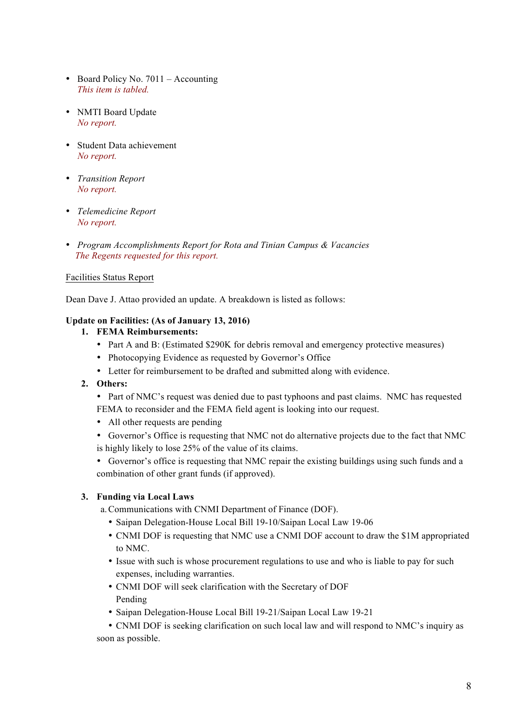- Board Policy No. 7011 Accounting *This item is tabled.*
- NMTI Board Update  *No report.*
- Student Data achievement *No report.*
- *Transition Report No report.*
- *Telemedicine Report No report.*
- *Program Accomplishments Report for Rota and Tinian Campus & Vacancies The Regents requested for this report.*

## Facilities Status Report

Dean Dave J. Attao provided an update. A breakdown is listed as follows:

## **Update on Facilities: (As of January 13, 2016)**

- **1. FEMA Reimbursements:**
	- Part A and B: (Estimated \$290K for debris removal and emergency protective measures)
	- Photocopying Evidence as requested by Governor's Office
	- Letter for reimbursement to be drafted and submitted along with evidence.

## **2. Others:**

- Part of NMC's request was denied due to past typhoons and past claims. NMC has requested FEMA to reconsider and the FEMA field agent is looking into our request.
- All other requests are pending
- Governor's Office is requesting that NMC not do alternative projects due to the fact that NMC is highly likely to lose 25% of the value of its claims.
- Governor's office is requesting that NMC repair the existing buildings using such funds and a combination of other grant funds (if approved).

## **3. Funding via Local Laws**

a.Communications with CNMI Department of Finance (DOF).

- Saipan Delegation-House Local Bill 19-10/Saipan Local Law 19-06
- CNMI DOF is requesting that NMC use a CNMI DOF account to draw the \$1M appropriated to NMC.
- Issue with such is whose procurement regulations to use and who is liable to pay for such expenses, including warranties.
- CNMI DOF will seek clarification with the Secretary of DOF Pending
- Saipan Delegation-House Local Bill 19-21/Saipan Local Law 19-21

• CNMI DOF is seeking clarification on such local law and will respond to NMC's inquiry as soon as possible.